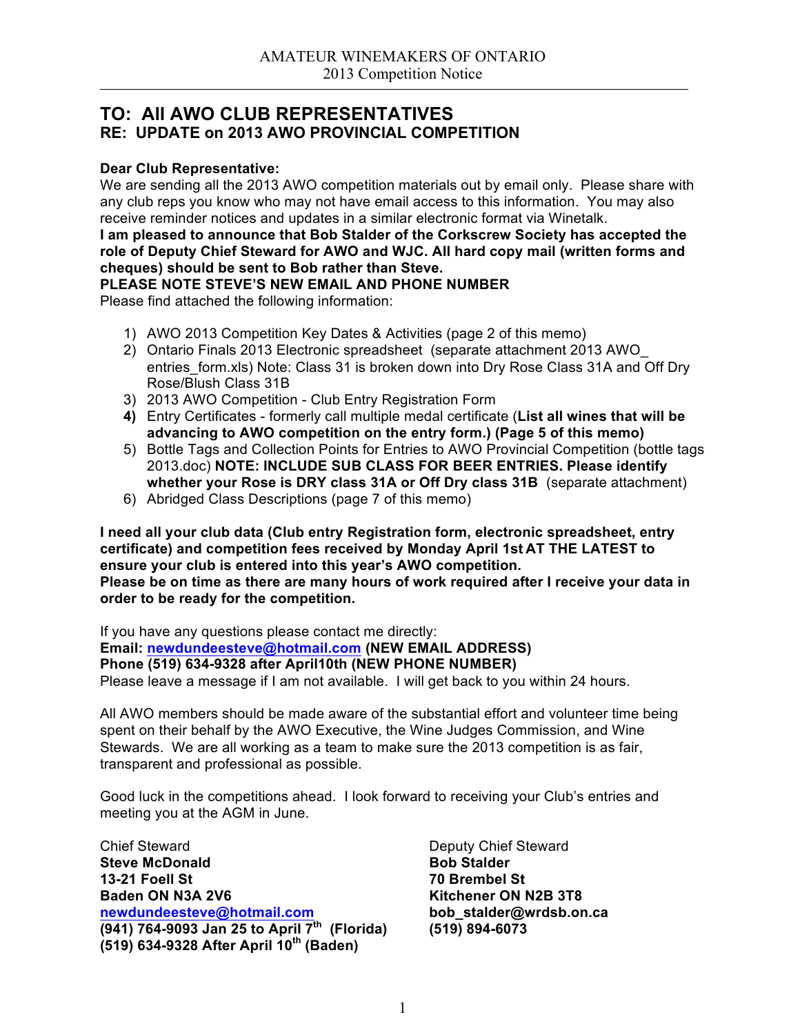### **TO: All AWO CLUB REPRESENTATIVES RE: UPDATE on 2013 AWO PROVINCIAL COMPETITION**

### **Dear Club Representative:**

We are sending all the 2013 AWO competition materials out by email only. Please share with any club reps you know who may not have email access to this information. You may also receive reminder notices and updates in a similar electronic format via Winetalk.

**I am pleased to announce that Bob Stalder of the Corkscrew Society has accepted the role of Deputy Chief Steward for AWO and WJC. All hard copy mail (written forms and cheques) should be sent to Bob rather than Steve.**

**PLEASE NOTE STEVE'S NEW EMAIL AND PHONE NUMBER**

Please find attached the following information:

- 1) AWO 2013 Competition Key Dates & Activities (page 2 of this memo)
- 2) Ontario Finals 2013 Electronic spreadsheet (separate attachment 2013 AWO\_ entries form.xls) Note: Class 31 is broken down into Dry Rose Class 31A and Off Dry Rose/Blush Class 31B
- 3) 2013 AWO Competition Club Entry Registration Form
- **4)** Entry Certificates formerly call multiple medal certificate (**List all wines that will be advancing to AWO competition on the entry form.) (Page 5 of this memo)**
- 5) Bottle Tags and Collection Points for Entries to AWO Provincial Competition (bottle tags 2013.doc) **NOTE: INCLUDE SUB CLASS FOR BEER ENTRIES. Please identify whether your Rose is DRY class 31A or Off Dry class 31B** (separate attachment)
- 6) Abridged Class Descriptions (page 7 of this memo)

**I need all your club data (Club entry Registration form, electronic spreadsheet, entry certificate) and competition fees received by Monday April 1st AT THE LATEST to ensure your club is entered into this year's AWO competition. Please be on time as there are many hours of work required after I receive your data in order to be ready for the competition.**

If you have any questions please contact me directly: **Email: newdundeesteve@hotmail.com (NEW EMAIL ADDRESS) Phone (519) 634-9328 after April10th (NEW PHONE NUMBER)** Please leave a message if I am not available. I will get back to you within 24 hours.

All AWO members should be made aware of the substantial effort and volunteer time being spent on their behalf by the AWO Executive, the Wine Judges Commission, and Wine Stewards. We are all working as a team to make sure the 2013 competition is as fair, transparent and professional as possible.

Good luck in the competitions ahead. I look forward to receiving your Club's entries and meeting you at the AGM in June.

Chief Steward<br>
Steve McDonald<br>
Steve McDonald<br>
Chief Steward<br>
Deputy Chief Steward<br>
Bob Stalder **Steve McDonald**<br>**13-21 Foell St Baden ON N3A 2V6 Kitchener ON N2B 3T8 newdundeesteve@hotmail.com bob\_stalder@wrdsb.on.ca (941) 764-9093 Jan 25 to April 7th (Florida) (519) 894-6073 (519) 634-9328 After April 10th (Baden)**

**13-21 Foell St 70 Brembel St**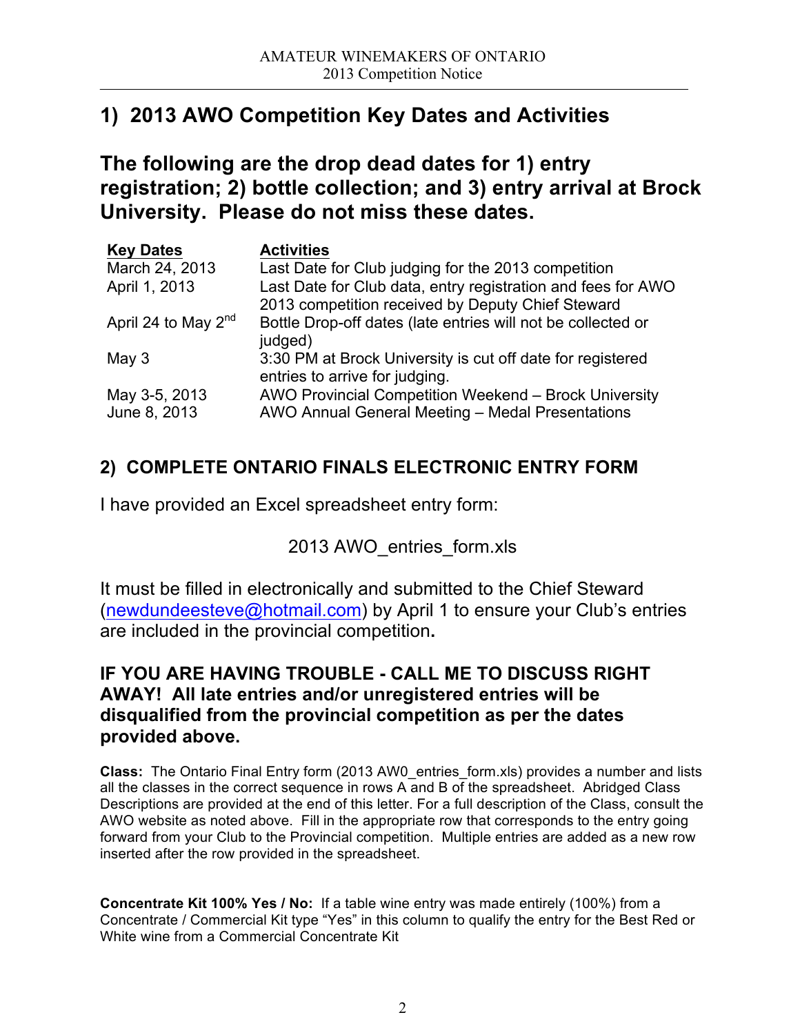# **1) 2013 AWO Competition Key Dates and Activities**

**The following are the drop dead dates for 1) entry registration; 2) bottle collection; and 3) entry arrival at Brock University. Please do not miss these dates.**

| <b>Key Dates</b>                | <b>Activities</b>                                                                                                 |
|---------------------------------|-------------------------------------------------------------------------------------------------------------------|
| March 24, 2013                  | Last Date for Club judging for the 2013 competition                                                               |
| April 1, 2013                   | Last Date for Club data, entry registration and fees for AWO<br>2013 competition received by Deputy Chief Steward |
| April 24 to May 2 <sup>nd</sup> | Bottle Drop-off dates (late entries will not be collected or<br>judged)                                           |
| May $3$                         | 3:30 PM at Brock University is cut off date for registered<br>entries to arrive for judging.                      |
| May 3-5, 2013<br>June 8, 2013   | AWO Provincial Competition Weekend - Brock University<br>AWO Annual General Meeting - Medal Presentations         |

## **2) COMPLETE ONTARIO FINALS ELECTRONIC ENTRY FORM**

I have provided an Excel spreadsheet entry form:

## 2013 AWO\_entries\_form.xls

It must be filled in electronically and submitted to the Chief Steward (newdundeesteve@hotmail.com) by April 1 to ensure your Club's entries are included in the provincial competition**.**

### **IF YOU ARE HAVING TROUBLE - CALL ME TO DISCUSS RIGHT AWAY! All late entries and/or unregistered entries will be disqualified from the provincial competition as per the dates provided above.**

**Class:** The Ontario Final Entry form (2013 AW0\_entries\_form.xls) provides a number and lists all the classes in the correct sequence in rows A and B of the spreadsheet.Abridged Class Descriptions are provided at the end of this letter. For a full description of the Class, consult the AWO website as noted above. Fill in the appropriate row that corresponds to the entry going forward from your Club to the Provincial competition. Multiple entries are added as a new row inserted after the row provided in the spreadsheet.

**Concentrate Kit 100% Yes / No:** If a table wine entry was made entirely (100%) from a Concentrate / Commercial Kit type "Yes" in this column to qualify the entry for the Best Red or White wine from a Commercial Concentrate Kit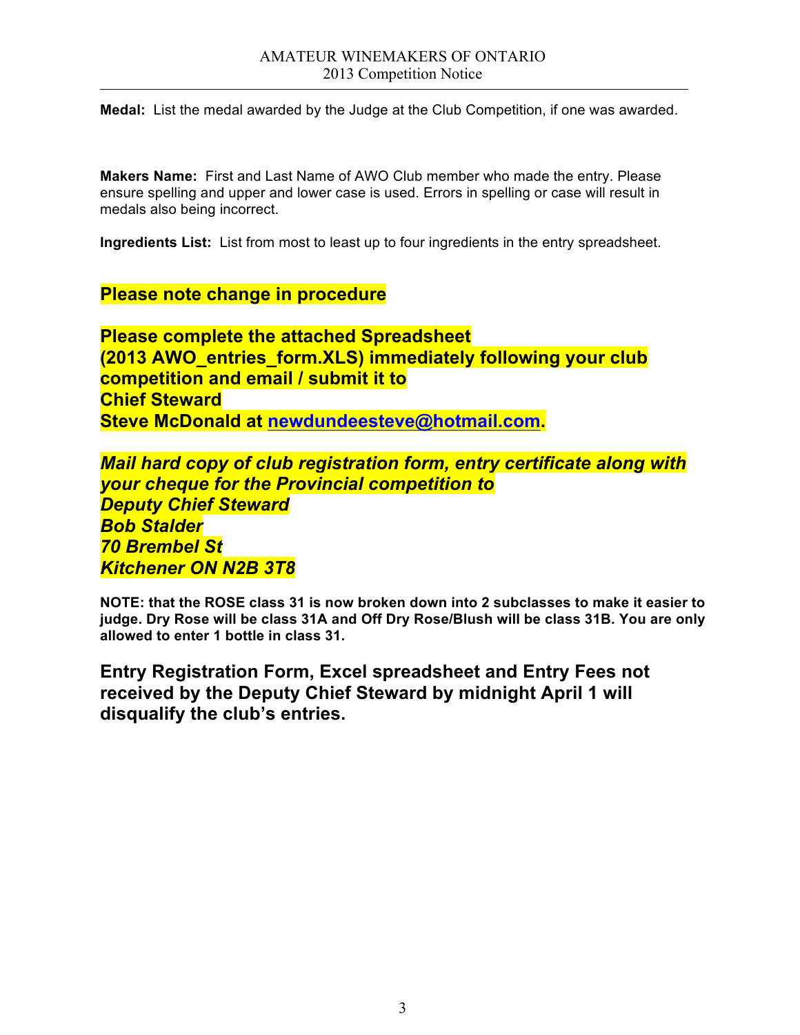**Medal:** List the medal awarded by the Judge at the Club Competition, if one was awarded.

**Makers Name:** First and Last Name of AWO Club member who made the entry. Please ensure spelling and upper and lower case is used. Errors in spelling or case will result in medals also being incorrect.

**Ingredients List:** List from most to least up to four ingredients in the entry spreadsheet.

**Please note change in procedure**

**Please complete the attached Spreadsheet (2013 AWO\_entries\_form.XLS) immediately following your club competition and email / submit it to Chief Steward Steve McDonald at newdundeesteve@hotmail.com.**

*Mail hard copy of club registration form, entry certificate along with your cheque for the Provincial competition to Deputy Chief Steward Bob Stalder 70 Brembel St Kitchener ON N2B 3T8*

**NOTE: that the ROSE class 31 is now broken down into 2 subclasses to make it easier to judge. Dry Rose will be class 31A and Off Dry Rose/Blush will be class 31B. You are only allowed to enter 1 bottle in class 31.**

**Entry Registration Form, Excel spreadsheet and Entry Fees not received by the Deputy Chief Steward by midnight April 1 will disqualify the club's entries.**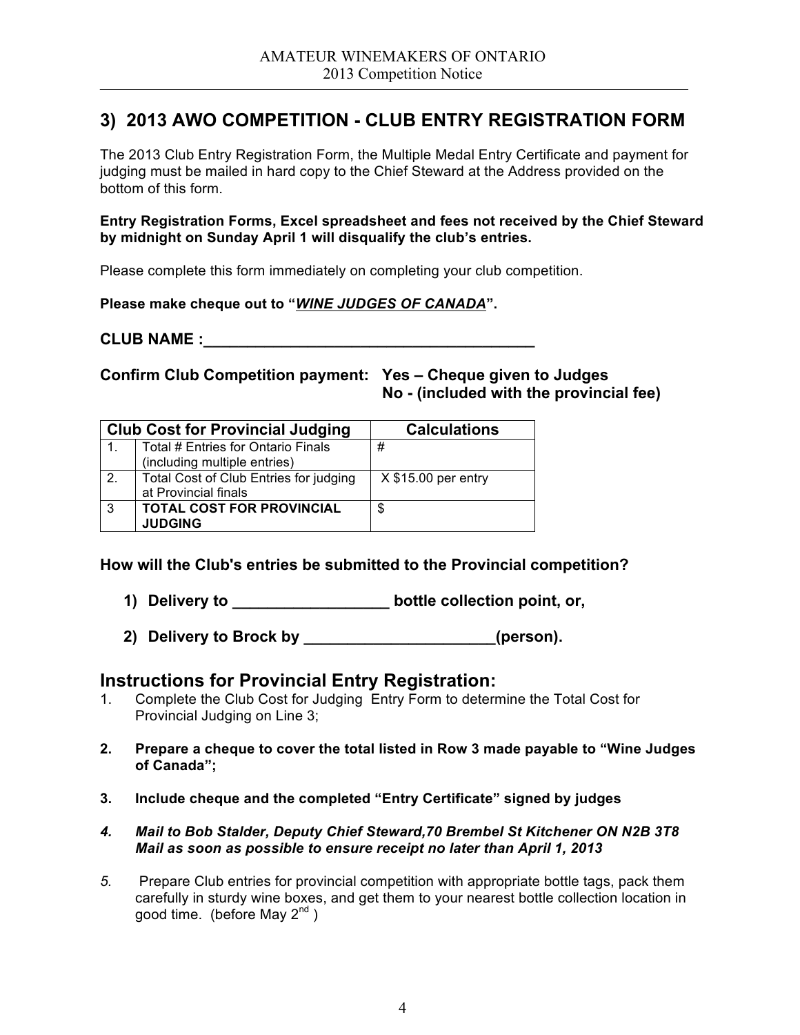### **3) 2013 AWO COMPETITION - CLUB ENTRY REGISTRATION FORM**

The 2013 Club Entry Registration Form, the Multiple Medal Entry Certificate and payment for judging must be mailed in hard copy to the Chief Steward at the Address provided on the bottom of this form.

**Entry Registration Forms, Excel spreadsheet and fees not received by the Chief Steward by midnight on Sunday April 1 will disqualify the club's entries.** 

Please complete this form immediately on completing your club competition.

**Please make cheque out to "***WINE JUDGES OF CANADA***".** 

**CLUB NAME :** 

**Confirm Club Competition payment: Yes – Cheque given to Judges No - (included with the provincial fee)**

|                  | <b>Club Cost for Provincial Judging</b> | <b>Calculations</b>  |
|------------------|-----------------------------------------|----------------------|
| 1.               | Total # Entries for Ontario Finals      | #                    |
|                  | (including multiple entries)            |                      |
| $\overline{2}$ . | Total Cost of Club Entries for judging  | $X $15.00$ per entry |
|                  | at Provincial finals                    |                      |
| . 3              | <b>TOTAL COST FOR PROVINCIAL</b>        | S                    |
|                  | <b>JUDGING</b>                          |                      |

**How will the Club's entries be submitted to the Provincial competition?**

- **1) Delivery to \_\_\_\_\_\_\_\_\_\_\_\_\_\_\_\_\_\_ bottle collection point, or,**
- **2) Delivery to Brock by \_\_\_\_\_\_\_\_\_\_\_\_\_\_\_\_\_\_\_\_\_\_(person).**

### **Instructions for Provincial Entry Registration:**

- 1. Complete the Club Cost for Judging Entry Form to determine the Total Cost for Provincial Judging on Line 3;
- **2. Prepare a cheque to cover the total listed in Row 3 made payable to "Wine Judges of Canada";**
- **3. Include cheque and the completed "Entry Certificate" signed by judges**
- *4. Mail to Bob Stalder, Deputy Chief Steward,70 Brembel St Kitchener ON N2B 3T8 Mail as soon as possible to ensure receipt no later than April 1, 2013*
- *5.* Prepare Club entries for provincial competition with appropriate bottle tags, pack them carefully in sturdy wine boxes, and get them to your nearest bottle collection location in good time. (before May  $2^{nd}$ )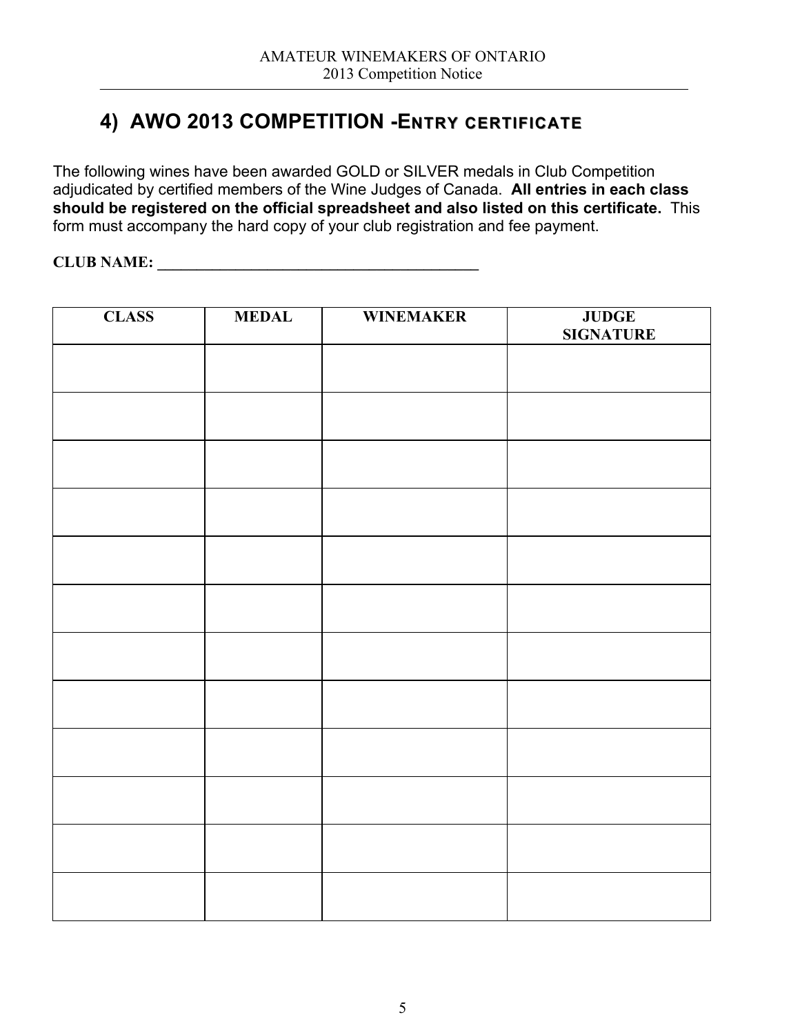# **4) AWO 2013 COMPETITION -ENTRY CERTIFICATE**

The following wines have been awarded GOLD or SILVER medals in Club Competition adjudicated by certified members of the Wine Judges of Canada. **All entries in each class should be registered on the official spreadsheet and also listed on this certificate.** This form must accompany the hard copy of your club registration and fee payment.

**CLUB NAME: \_\_\_\_\_\_\_\_\_\_\_\_\_\_\_\_\_\_\_\_\_\_\_\_\_\_\_\_\_\_\_\_\_\_\_\_\_\_\_\_\_**

| <b>CLASS</b> | <b>MEDAL</b> | <b>WINEMAKER</b> | <b>JUDGE<br/>SIGNATURE</b> |
|--------------|--------------|------------------|----------------------------|
|              |              |                  |                            |
|              |              |                  |                            |
|              |              |                  |                            |
|              |              |                  |                            |
|              |              |                  |                            |
|              |              |                  |                            |
|              |              |                  |                            |
|              |              |                  |                            |
|              |              |                  |                            |
|              |              |                  |                            |
|              |              |                  |                            |
|              |              |                  |                            |
|              |              |                  |                            |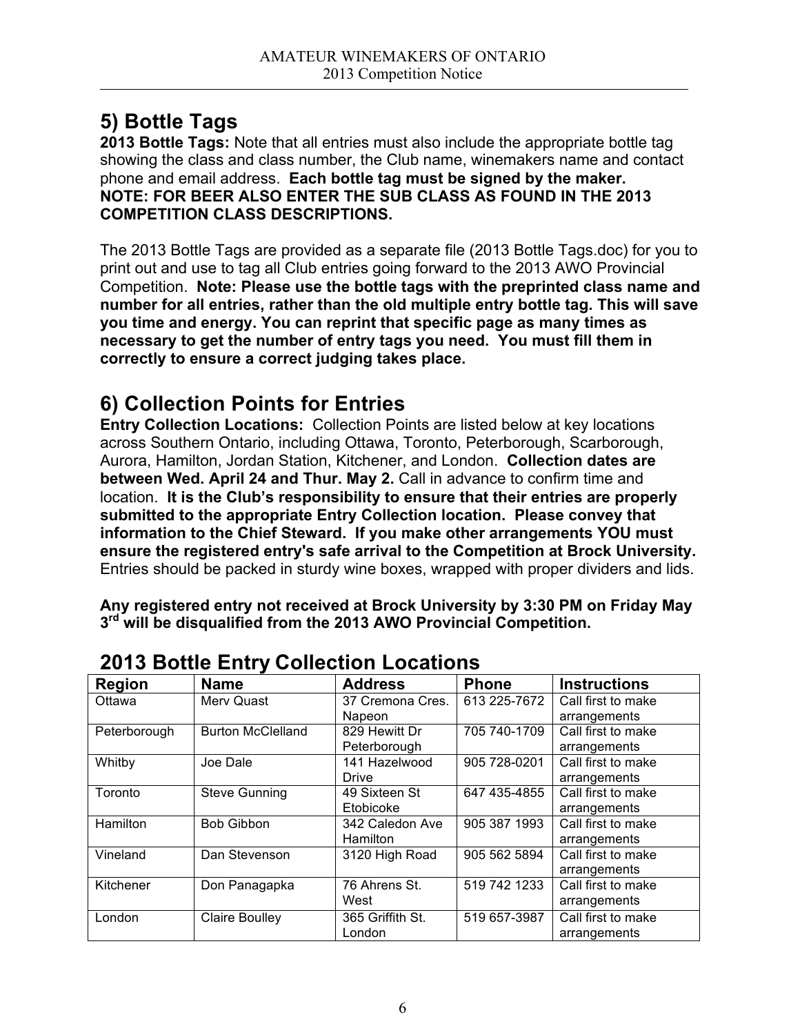# **5) Bottle Tags**

**2013 Bottle Tags:** Note that all entries must also include the appropriate bottle tag showing the class and class number, the Club name, winemakers name and contact phone and email address. **Each bottle tag must be signed by the maker. NOTE: FOR BEER ALSO ENTER THE SUB CLASS AS FOUND IN THE 2013 COMPETITION CLASS DESCRIPTIONS.**

The 2013 Bottle Tags are provided as a separate file (2013 Bottle Tags.doc) for you to print out and use to tag all Club entries going forward to the 2013 AWO Provincial Competition. **Note: Please use the bottle tags with the preprinted class name and number for all entries, rather than the old multiple entry bottle tag. This will save you time and energy. You can reprint that specific page as many times as necessary to get the number of entry tags you need. You must fill them in correctly to ensure a correct judging takes place.**

# **6) Collection Points for Entries**

**Entry Collection Locations:** Collection Points are listed below at key locations across Southern Ontario, including Ottawa, Toronto, Peterborough, Scarborough, Aurora, Hamilton, Jordan Station, Kitchener, and London. **Collection dates are between Wed. April 24 and Thur. May 2.** Call in advance to confirm time and location. **It is the Club's responsibility to ensure that their entries are properly submitted to the appropriate Entry Collection location. Please convey that information to the Chief Steward. If you make other arrangements YOU must ensure the registered entry's safe arrival to the Competition at Brock University.**  Entries should be packed in sturdy wine boxes, wrapped with proper dividers and lids.

**Any registered entry not received at Brock University by 3:30 PM on Friday May 3rd will be disqualified from the 2013 AWO Provincial Competition.**

| LU IU DULLIU LIILI J UUIIUULIUII LUUULIUIIU |                          |                  |              |                     |
|---------------------------------------------|--------------------------|------------------|--------------|---------------------|
| <b>Region</b>                               | <b>Name</b>              | <b>Address</b>   | <b>Phone</b> | <b>Instructions</b> |
| Ottawa                                      | Merv Quast               | 37 Cremona Cres. | 613 225-7672 | Call first to make  |
|                                             |                          | Napeon           |              | arrangements        |
| Peterborough                                | <b>Burton McClelland</b> | 829 Hewitt Dr    | 705 740-1709 | Call first to make  |
|                                             |                          | Peterborough     |              | arrangements        |
| Whitby                                      | Joe Dale                 | 141 Hazelwood    | 905 728-0201 | Call first to make  |
|                                             |                          | <b>Drive</b>     |              | arrangements        |
| Toronto                                     | <b>Steve Gunning</b>     | 49 Sixteen St    | 647 435-4855 | Call first to make  |
|                                             |                          | Etobicoke        |              | arrangements        |
| Hamilton                                    | <b>Bob Gibbon</b>        | 342 Caledon Ave  | 905 387 1993 | Call first to make  |
|                                             |                          | Hamilton         |              | arrangements        |
| Vineland                                    | Dan Stevenson            | 3120 High Road   | 905 562 5894 | Call first to make  |
|                                             |                          |                  |              | arrangements        |
| Kitchener                                   | Don Panagapka            | 76 Ahrens St.    | 519 742 1233 | Call first to make  |
|                                             |                          | West             |              | arrangements        |
| London                                      | <b>Claire Boulley</b>    | 365 Griffith St. | 519 657-3987 | Call first to make  |
|                                             |                          | London           |              | arrangements        |

## **2013 Bottle Entry Collection Locations**